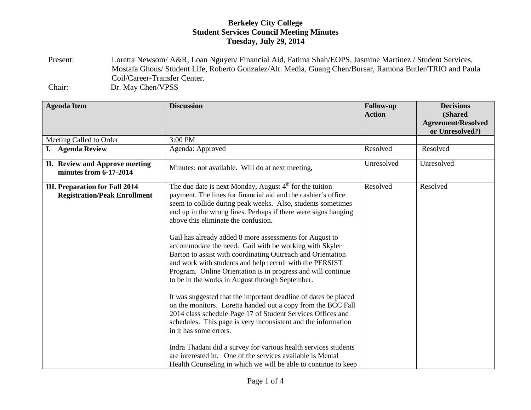## **Berkeley City College Student Services Council Meeting Minutes Tuesday, July 29, 2014**

Present: Loretta Newsom/ A&R, Loan Nguyen/ Financial Aid, Fatima Shah/EOPS, Jasmine Martinez / Student Services, Mostafa Ghous/ Student Life, Roberto Gonzalez/Alt. Media, Guang Chen/Bursar, Ramona Butler/TRIO and Paula Coil/Career-Transfer Center. Chair: Dr. May Chen/VPSS

| <b>Agenda Item</b>                                                           | <b>Discussion</b>                                                                                                                                                                                                                                                                                                                                                                                                                                                                                                                                                                                                                                                                                                                                                                                                                                                                                                                                                                                                                                                                                                                                                               | <b>Follow-up</b><br><b>Action</b> | <b>Decisions</b><br>(Shared<br><b>Agreement/Resolved</b><br>or Unresolved?) |
|------------------------------------------------------------------------------|---------------------------------------------------------------------------------------------------------------------------------------------------------------------------------------------------------------------------------------------------------------------------------------------------------------------------------------------------------------------------------------------------------------------------------------------------------------------------------------------------------------------------------------------------------------------------------------------------------------------------------------------------------------------------------------------------------------------------------------------------------------------------------------------------------------------------------------------------------------------------------------------------------------------------------------------------------------------------------------------------------------------------------------------------------------------------------------------------------------------------------------------------------------------------------|-----------------------------------|-----------------------------------------------------------------------------|
| Meeting Called to Order                                                      | 3:00 PM                                                                                                                                                                                                                                                                                                                                                                                                                                                                                                                                                                                                                                                                                                                                                                                                                                                                                                                                                                                                                                                                                                                                                                         |                                   |                                                                             |
| I. Agenda Review                                                             | Agenda: Approved                                                                                                                                                                                                                                                                                                                                                                                                                                                                                                                                                                                                                                                                                                                                                                                                                                                                                                                                                                                                                                                                                                                                                                | Resolved                          | Resolved                                                                    |
| II. Review and Approve meeting<br>minutes from 6-17-2014                     | Minutes: not available. Will do at next meeting,                                                                                                                                                                                                                                                                                                                                                                                                                                                                                                                                                                                                                                                                                                                                                                                                                                                                                                                                                                                                                                                                                                                                | Unresolved                        | Unresolved                                                                  |
| <b>III. Preparation for Fall 2014</b><br><b>Registration/Peak Enrollment</b> | The due date is next Monday, August 4 <sup>th</sup> for the tuition<br>payment. The lines for financial aid and the cashier's office<br>seem to collide during peak weeks. Also, students sometimes<br>end up in the wrong lines. Perhaps if there were signs hanging<br>above this eliminate the confusion.<br>Gail has already added 8 more assessments for August to<br>accommodate the need. Gail with be working with Skyler<br>Barton to assist with coordinating Outreach and Orientation<br>and work with students and help recruit with the PERSIST<br>Program. Online Orientation is in progress and will continue<br>to be in the works in August through September.<br>It was suggested that the important deadline of dates be placed<br>on the monitors. Loretta handed out a copy from the BCC Fall<br>2014 class schedule Page 17 of Student Services Offices and<br>schedules. This page is very inconsistent and the information<br>in it has some errors.<br>Indra Thadani did a survey for various health services students<br>are interested in. One of the services available is Mental<br>Health Counseling in which we will be able to continue to keep | Resolved                          | Resolved                                                                    |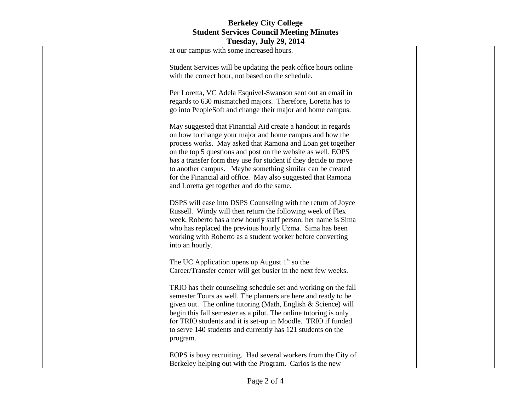## **Berkeley City College Student Services Council Meeting Minutes**

| <b>Tuesday, July 29, 2014</b> |                                                                                                                                                                                                                                                                                                                                                                                                                                                                                                    |  |  |  |
|-------------------------------|----------------------------------------------------------------------------------------------------------------------------------------------------------------------------------------------------------------------------------------------------------------------------------------------------------------------------------------------------------------------------------------------------------------------------------------------------------------------------------------------------|--|--|--|
|                               | at our campus with some increased hours.                                                                                                                                                                                                                                                                                                                                                                                                                                                           |  |  |  |
|                               | Student Services will be updating the peak office hours online<br>with the correct hour, not based on the schedule.                                                                                                                                                                                                                                                                                                                                                                                |  |  |  |
|                               | Per Loretta, VC Adela Esquivel-Swanson sent out an email in<br>regards to 630 mismatched majors. Therefore, Loretta has to<br>go into PeopleSoft and change their major and home campus.                                                                                                                                                                                                                                                                                                           |  |  |  |
|                               | May suggested that Financial Aid create a handout in regards<br>on how to change your major and home campus and how the<br>process works. May asked that Ramona and Loan get together<br>on the top 5 questions and post on the website as well. EOPS<br>has a transfer form they use for student if they decide to move<br>to another campus. Maybe something similar can be created<br>for the Financial aid office. May also suggested that Ramona<br>and Loretta get together and do the same. |  |  |  |
|                               | DSPS will ease into DSPS Counseling with the return of Joyce<br>Russell. Windy will then return the following week of Flex<br>week. Roberto has a new hourly staff person; her name is Sima<br>who has replaced the previous hourly Uzma. Sima has been<br>working with Roberto as a student worker before converting<br>into an hourly.                                                                                                                                                           |  |  |  |
|                               | The UC Application opens up August $1st$ so the<br>Career/Transfer center will get busier in the next few weeks.                                                                                                                                                                                                                                                                                                                                                                                   |  |  |  |
|                               | TRIO has their counseling schedule set and working on the fall<br>semester Tours as well. The planners are here and ready to be<br>given out. The online tutoring (Math, English & Science) will<br>begin this fall semester as a pilot. The online tutoring is only<br>for TRIO students and it is set-up in Moodle. TRIO if funded<br>to serve 140 students and currently has 121 students on the<br>program.                                                                                    |  |  |  |
|                               | EOPS is busy recruiting. Had several workers from the City of<br>Berkeley helping out with the Program. Carlos is the new                                                                                                                                                                                                                                                                                                                                                                          |  |  |  |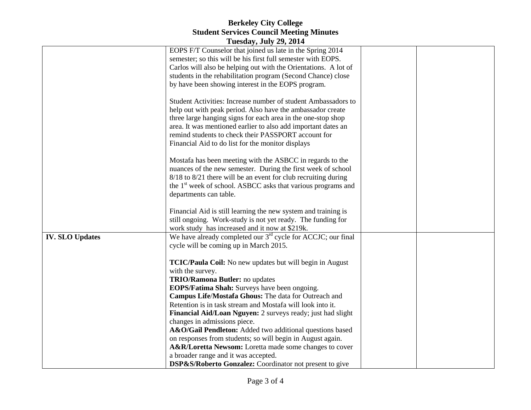## **Berkeley City College Student Services Council Meeting Minutes**

| <b>Tuesday, July 29, 2014</b> |                                                                                             |  |  |  |
|-------------------------------|---------------------------------------------------------------------------------------------|--|--|--|
|                               | EOPS F/T Counselor that joined us late in the Spring 2014                                   |  |  |  |
|                               | semester; so this will be his first full semester with EOPS.                                |  |  |  |
|                               | Carlos will also be helping out with the Orientations. A lot of                             |  |  |  |
|                               | students in the rehabilitation program (Second Chance) close                                |  |  |  |
|                               | by have been showing interest in the EOPS program.                                          |  |  |  |
|                               |                                                                                             |  |  |  |
|                               | Student Activities: Increase number of student Ambassadors to                               |  |  |  |
|                               | help out with peak period. Also have the ambassador create                                  |  |  |  |
|                               | three large hanging signs for each area in the one-stop shop                                |  |  |  |
|                               | area. It was mentioned earlier to also add important dates an                               |  |  |  |
|                               | remind students to check their PASSPORT account for                                         |  |  |  |
|                               | Financial Aid to do list for the monitor displays                                           |  |  |  |
|                               |                                                                                             |  |  |  |
|                               | Mostafa has been meeting with the ASBCC in regards to the                                   |  |  |  |
|                               | nuances of the new semester. During the first week of school                                |  |  |  |
|                               | 8/18 to 8/21 there will be an event for club recruiting during                              |  |  |  |
|                               | the 1 <sup>st</sup> week of school. ASBCC asks that various programs and                    |  |  |  |
|                               | departments can table.                                                                      |  |  |  |
|                               |                                                                                             |  |  |  |
|                               | Financial Aid is still learning the new system and training is                              |  |  |  |
|                               | still ongoing. Work-study is not yet ready. The funding for                                 |  |  |  |
|                               | work study has increased and it now at \$219k.                                              |  |  |  |
| <b>IV. SLO Updates</b>        | We have already completed our 3 <sup>rd</sup> cycle for ACCJC; our final                    |  |  |  |
|                               | cycle will be coming up in March 2015.                                                      |  |  |  |
|                               |                                                                                             |  |  |  |
|                               | TCIC/Paula Coil: No new updates but will begin in August                                    |  |  |  |
|                               | with the survey.                                                                            |  |  |  |
|                               | TRIO/Ramona Butler: no updates                                                              |  |  |  |
|                               | EOPS/Fatima Shah: Surveys have been ongoing.                                                |  |  |  |
|                               | Campus Life/Mostafa Ghous: The data for Outreach and                                        |  |  |  |
|                               | Retention is in task stream and Mostafa will look into it.                                  |  |  |  |
|                               | Financial Aid/Loan Nguyen: 2 surveys ready; just had slight<br>changes in admissions piece. |  |  |  |
|                               | A&O/Gail Pendleton: Added two additional questions based                                    |  |  |  |
|                               | on responses from students; so will begin in August again.                                  |  |  |  |
|                               | A&R/Loretta Newsom: Loretta made some changes to cover                                      |  |  |  |
|                               | a broader range and it was accepted.                                                        |  |  |  |
|                               | DSP&S/Roberto Gonzalez: Coordinator not present to give                                     |  |  |  |
|                               |                                                                                             |  |  |  |